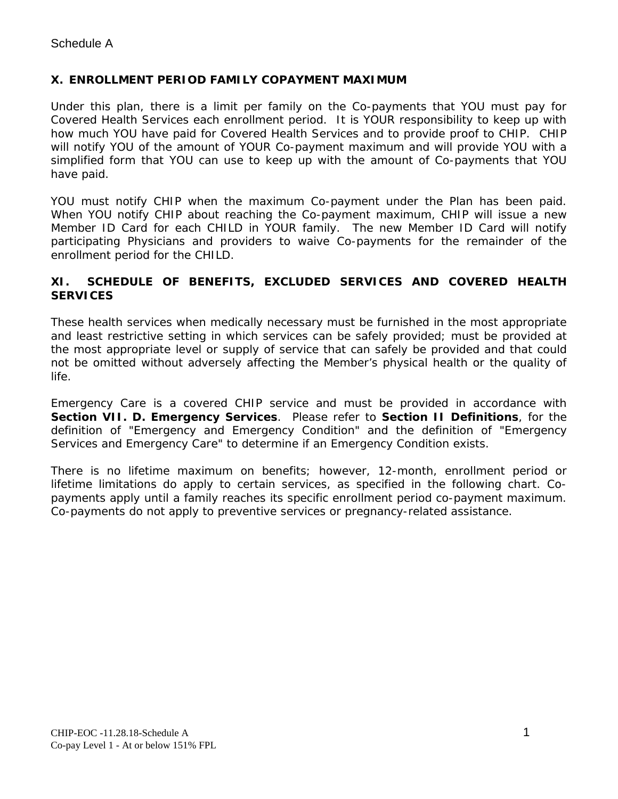## **X. ENROLLMENT PERIOD FAMILY COPAYMENT MAXIMUM**

Under this plan, there is a limit per family on the Co-payments that YOU must pay for Covered Health Services each enrollment period. It is YOUR responsibility to keep up with how much YOU have paid for Covered Health Services and to provide proof to CHIP. CHIP will notify YOU of the amount of YOUR Co-payment maximum and will provide YOU with a simplified form that YOU can use to keep up with the amount of Co-payments that YOU have paid.

YOU must notify CHIP when the maximum Co-payment under the Plan has been paid. When YOU notify CHIP about reaching the Co-payment maximum, CHIP will issue a new Member ID Card for each CHILD in YOUR family. The new Member ID Card will notify participating Physicians and providers to waive Co-payments for the remainder of the enrollment period for the CHILD.

## **XI. SCHEDULE OF BENEFITS, EXCLUDED SERVICES AND COVERED HEALTH SERVICES**

These health services when medically necessary must be furnished in the most appropriate and least restrictive setting in which services can be safely provided; must be provided at the most appropriate level or supply of service that can safely be provided and that could not be omitted without adversely affecting the Member's physical health or the quality of life.

Emergency Care is a covered CHIP service and must be provided in accordance with **Section VII. D. Emergency Services**. Please refer to **Section II Definitions**, for the definition of "Emergency and Emergency Condition" and the definition of "Emergency Services and Emergency Care" to determine if an Emergency Condition exists.

There is no lifetime maximum on benefits; however, 12-month, enrollment period or lifetime limitations do apply to certain services, as specified in the following chart. Copayments apply until a family reaches its specific enrollment period co-payment maximum. Co-payments do not apply to preventive services or pregnancy-related assistance.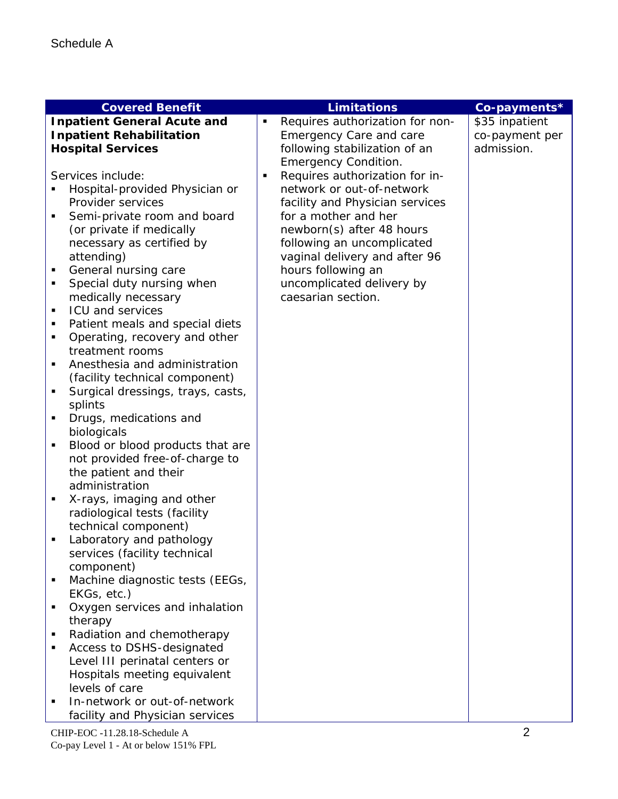| <b>Covered Benefit</b>                 |                | <b>Limitations</b>              | Co-payments*   |
|----------------------------------------|----------------|---------------------------------|----------------|
| <b>Inpatient General Acute and</b>     |                | Requires authorization for non- | \$35 inpatient |
| <b>Inpatient Rehabilitation</b>        |                | Emergency Care and care         | co-payment per |
| <b>Hospital Services</b>               |                | following stabilization of an   | admission.     |
|                                        |                | <b>Emergency Condition.</b>     |                |
| Services include:                      | $\blacksquare$ | Requires authorization for in-  |                |
| Hospital-provided Physician or         |                | network or out-of-network       |                |
| Provider services                      |                | facility and Physician services |                |
| Semi-private room and board<br>Ξ       |                | for a mother and her            |                |
| (or private if medically               |                | newborn(s) after 48 hours       |                |
| necessary as certified by              |                | following an uncomplicated      |                |
| attending)                             |                | vaginal delivery and after 96   |                |
| General nursing care<br>Ξ              |                | hours following an              |                |
| Special duty nursing when<br>Ξ         |                | uncomplicated delivery by       |                |
| medically necessary                    |                | caesarian section.              |                |
| <b>ICU and services</b><br>П           |                |                                 |                |
| Patient meals and special diets<br>П   |                |                                 |                |
| Operating, recovery and other<br>П     |                |                                 |                |
| treatment rooms                        |                |                                 |                |
| Anesthesia and administration<br>П     |                |                                 |                |
| (facility technical component)         |                |                                 |                |
| Surgical dressings, trays, casts,<br>Ξ |                |                                 |                |
| splints                                |                |                                 |                |
| Drugs, medications and<br>Ξ            |                |                                 |                |
| biologicals                            |                |                                 |                |
| Blood or blood products that are<br>Ξ  |                |                                 |                |
| not provided free-of-charge to         |                |                                 |                |
| the patient and their                  |                |                                 |                |
| administration                         |                |                                 |                |
| X-rays, imaging and other<br>٠         |                |                                 |                |
| radiological tests (facility           |                |                                 |                |
| technical component)                   |                |                                 |                |
| Laboratory and pathology<br>٠          |                |                                 |                |
| services (facility technical           |                |                                 |                |
| component)                             |                |                                 |                |
| Machine diagnostic tests (EEGs,<br>Е   |                |                                 |                |
| EKGs, etc.)                            |                |                                 |                |
| Oxygen services and inhalation<br>П    |                |                                 |                |
| therapy                                |                |                                 |                |
| Radiation and chemotherapy<br>П        |                |                                 |                |
| Access to DSHS-designated<br>П         |                |                                 |                |
| Level III perinatal centers or         |                |                                 |                |
| Hospitals meeting equivalent           |                |                                 |                |
| levels of care                         |                |                                 |                |
| In-network or out-of-network           |                |                                 |                |
| facility and Physician services        |                |                                 |                |
| CHIP-EOC -11.28.18-Schedule A          |                |                                 | $\overline{2}$ |

Co-pay Level 1 - At or below 151% FPL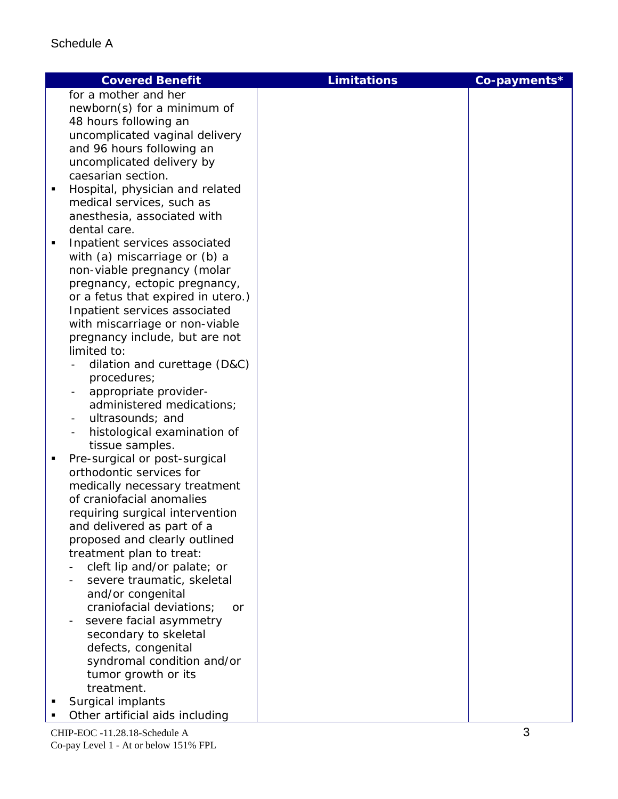|   | <b>Covered Benefit</b>                                  | <b>Limitations</b> | Co-payments* |
|---|---------------------------------------------------------|--------------------|--------------|
|   | for a mother and her                                    |                    |              |
|   | newborn(s) for a minimum of                             |                    |              |
|   | 48 hours following an                                   |                    |              |
|   | uncomplicated vaginal delivery                          |                    |              |
|   | and 96 hours following an                               |                    |              |
|   | uncomplicated delivery by                               |                    |              |
|   | caesarian section.                                      |                    |              |
| п | Hospital, physician and related                         |                    |              |
|   | medical services, such as                               |                    |              |
|   | anesthesia, associated with                             |                    |              |
|   | dental care.                                            |                    |              |
| Ξ | Inpatient services associated                           |                    |              |
|   | with (a) miscarriage or (b) a                           |                    |              |
|   | non-viable pregnancy (molar                             |                    |              |
|   | pregnancy, ectopic pregnancy,                           |                    |              |
|   | or a fetus that expired in utero.)                      |                    |              |
|   | Inpatient services associated                           |                    |              |
|   | with miscarriage or non-viable                          |                    |              |
|   | pregnancy include, but are not                          |                    |              |
|   | limited to:                                             |                    |              |
|   | dilation and curettage (D&C)                            |                    |              |
|   | procedures;                                             |                    |              |
|   | appropriate provider-                                   |                    |              |
|   | administered medications;                               |                    |              |
|   | ultrasounds; and                                        |                    |              |
|   | histological examination of                             |                    |              |
|   | tissue samples.                                         |                    |              |
| ٠ | Pre-surgical or post-surgical                           |                    |              |
|   | orthodontic services for                                |                    |              |
|   | medically necessary treatment                           |                    |              |
|   | of craniofacial anomalies                               |                    |              |
|   | requiring surgical intervention                         |                    |              |
|   | and delivered as part of a                              |                    |              |
|   | proposed and clearly outlined                           |                    |              |
|   | treatment plan to treat:<br>cleft lip and/or palate; or |                    |              |
|   | severe traumatic, skeletal                              |                    |              |
|   | and/or congenital                                       |                    |              |
|   | craniofacial deviations;<br>or                          |                    |              |
|   | severe facial asymmetry                                 |                    |              |
|   | secondary to skeletal                                   |                    |              |
|   | defects, congenital                                     |                    |              |
|   | syndromal condition and/or                              |                    |              |
|   | tumor growth or its                                     |                    |              |
|   | treatment.                                              |                    |              |
|   | Surgical implants                                       |                    |              |
|   | Other artificial aids including                         |                    |              |
|   |                                                         |                    |              |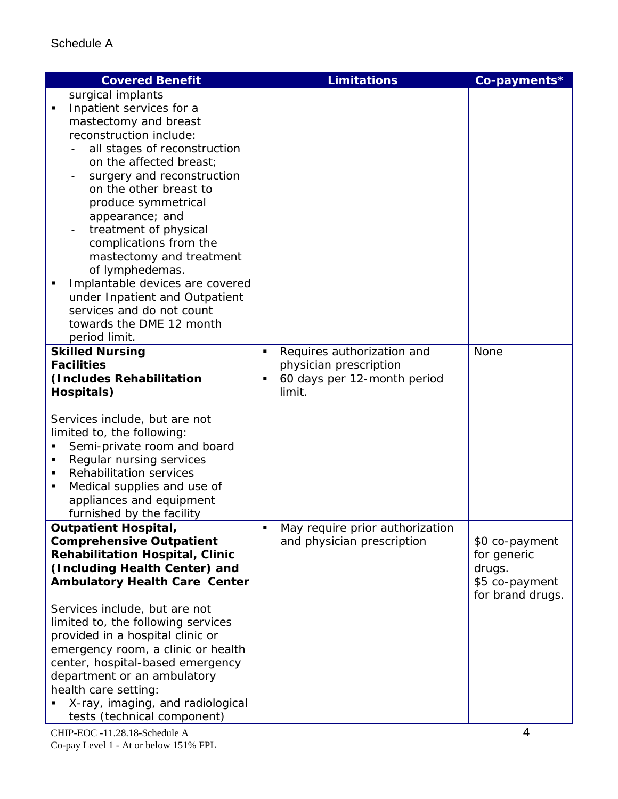|   | <b>Covered Benefit</b>                 |   | <b>Limitations</b>              | Co-payments*     |
|---|----------------------------------------|---|---------------------------------|------------------|
|   | surgical implants                      |   |                                 |                  |
|   | Inpatient services for a               |   |                                 |                  |
|   | mastectomy and breast                  |   |                                 |                  |
|   | reconstruction include:                |   |                                 |                  |
|   | all stages of reconstruction           |   |                                 |                  |
|   | on the affected breast;                |   |                                 |                  |
|   | surgery and reconstruction             |   |                                 |                  |
|   | on the other breast to                 |   |                                 |                  |
|   | produce symmetrical                    |   |                                 |                  |
|   | appearance; and                        |   |                                 |                  |
|   | treatment of physical                  |   |                                 |                  |
|   | complications from the                 |   |                                 |                  |
|   | mastectomy and treatment               |   |                                 |                  |
|   | of lymphedemas.                        |   |                                 |                  |
|   | Implantable devices are covered        |   |                                 |                  |
|   | under Inpatient and Outpatient         |   |                                 |                  |
|   | services and do not count              |   |                                 |                  |
|   | towards the DME 12 month               |   |                                 |                  |
|   | period limit.                          |   |                                 |                  |
|   | <b>Skilled Nursing</b>                 | ٠ | Requires authorization and      | None             |
|   | <b>Facilities</b>                      |   | physician prescription          |                  |
|   | (Includes Rehabilitation               |   | 60 days per 12-month period     |                  |
|   | Hospitals)                             |   | limit.                          |                  |
|   |                                        |   |                                 |                  |
|   | Services include, but are not          |   |                                 |                  |
|   | limited to, the following:             |   |                                 |                  |
|   | Semi-private room and board            |   |                                 |                  |
| п | Regular nursing services               |   |                                 |                  |
|   | <b>Rehabilitation services</b>         |   |                                 |                  |
| п | Medical supplies and use of            |   |                                 |                  |
|   | appliances and equipment               |   |                                 |                  |
|   | furnished by the facility              |   |                                 |                  |
|   | <b>Outpatient Hospital,</b>            |   | May require prior authorization |                  |
|   | <b>Comprehensive Outpatient</b>        |   | and physician prescription      | \$0 co-payment   |
|   | <b>Rehabilitation Hospital, Clinic</b> |   |                                 | for generic      |
|   | (Including Health Center) and          |   |                                 | drugs.           |
|   | <b>Ambulatory Health Care Center</b>   |   |                                 | \$5 co-payment   |
|   |                                        |   |                                 | for brand drugs. |
|   | Services include, but are not          |   |                                 |                  |
|   | limited to, the following services     |   |                                 |                  |
|   | provided in a hospital clinic or       |   |                                 |                  |
|   | emergency room, a clinic or health     |   |                                 |                  |
|   | center, hospital-based emergency       |   |                                 |                  |
|   | department or an ambulatory            |   |                                 |                  |
|   | health care setting:                   |   |                                 |                  |
|   | X-ray, imaging, and radiological       |   |                                 |                  |
|   | tests (technical component)            |   |                                 |                  |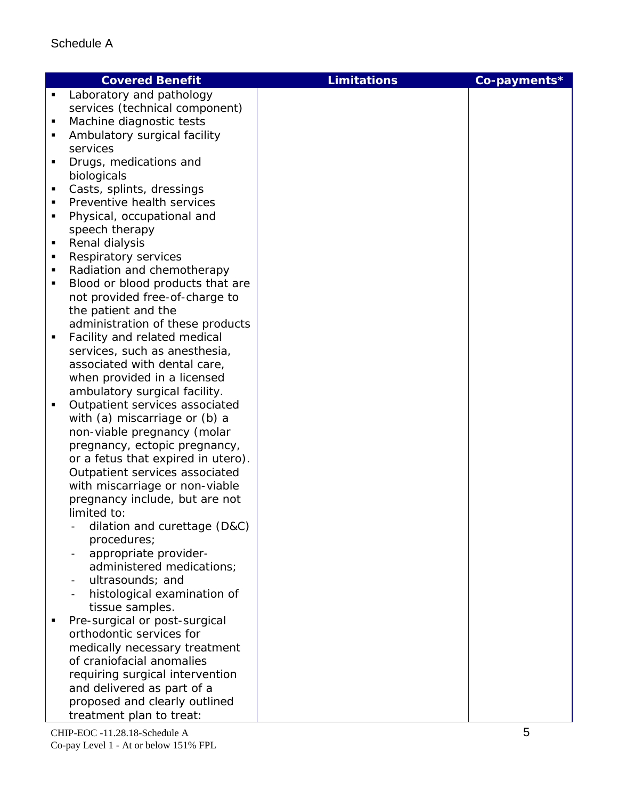| Laboratory and pathology<br>٠<br>services (technical component)<br>Machine diagnostic tests<br>п<br>Ambulatory surgical facility<br>services<br>Drugs, medications and<br>biologicals<br>Casts, splints, dressings<br>п<br>Preventive health services |  |
|-------------------------------------------------------------------------------------------------------------------------------------------------------------------------------------------------------------------------------------------------------|--|
|                                                                                                                                                                                                                                                       |  |
|                                                                                                                                                                                                                                                       |  |
|                                                                                                                                                                                                                                                       |  |
|                                                                                                                                                                                                                                                       |  |
|                                                                                                                                                                                                                                                       |  |
|                                                                                                                                                                                                                                                       |  |
|                                                                                                                                                                                                                                                       |  |
|                                                                                                                                                                                                                                                       |  |
|                                                                                                                                                                                                                                                       |  |
| Physical, occupational and<br>п                                                                                                                                                                                                                       |  |
| speech therapy                                                                                                                                                                                                                                        |  |
| Renal dialysis<br>П                                                                                                                                                                                                                                   |  |
| Respiratory services<br>п                                                                                                                                                                                                                             |  |
| Radiation and chemotherapy<br>п                                                                                                                                                                                                                       |  |
| Blood or blood products that are                                                                                                                                                                                                                      |  |
| not provided free-of-charge to                                                                                                                                                                                                                        |  |
| the patient and the                                                                                                                                                                                                                                   |  |
| administration of these products                                                                                                                                                                                                                      |  |
| Facility and related medical<br>٠                                                                                                                                                                                                                     |  |
| services, such as anesthesia,                                                                                                                                                                                                                         |  |
| associated with dental care,                                                                                                                                                                                                                          |  |
| when provided in a licensed                                                                                                                                                                                                                           |  |
| ambulatory surgical facility.                                                                                                                                                                                                                         |  |
| Outpatient services associated<br>٠                                                                                                                                                                                                                   |  |
| with (a) miscarriage or (b) a                                                                                                                                                                                                                         |  |
| non-viable pregnancy (molar                                                                                                                                                                                                                           |  |
| pregnancy, ectopic pregnancy,                                                                                                                                                                                                                         |  |
| or a fetus that expired in utero).                                                                                                                                                                                                                    |  |
| Outpatient services associated                                                                                                                                                                                                                        |  |
| with miscarriage or non-viable                                                                                                                                                                                                                        |  |
| pregnancy include, but are not                                                                                                                                                                                                                        |  |
| limited to:                                                                                                                                                                                                                                           |  |
| dilation and curettage (D&C)                                                                                                                                                                                                                          |  |
| procedures;                                                                                                                                                                                                                                           |  |
| appropriate provider-                                                                                                                                                                                                                                 |  |
| administered medications;                                                                                                                                                                                                                             |  |
| ultrasounds; and<br>histological examination of                                                                                                                                                                                                       |  |
| tissue samples.                                                                                                                                                                                                                                       |  |
| Pre-surgical or post-surgical                                                                                                                                                                                                                         |  |
| orthodontic services for                                                                                                                                                                                                                              |  |
| medically necessary treatment                                                                                                                                                                                                                         |  |
| of craniofacial anomalies                                                                                                                                                                                                                             |  |
| requiring surgical intervention                                                                                                                                                                                                                       |  |
| and delivered as part of a                                                                                                                                                                                                                            |  |
| proposed and clearly outlined                                                                                                                                                                                                                         |  |
| treatment plan to treat:                                                                                                                                                                                                                              |  |

CHIP -EOC -11.28.1 8 -Schedule A Co -pay Level 1 - At or below 151% FPL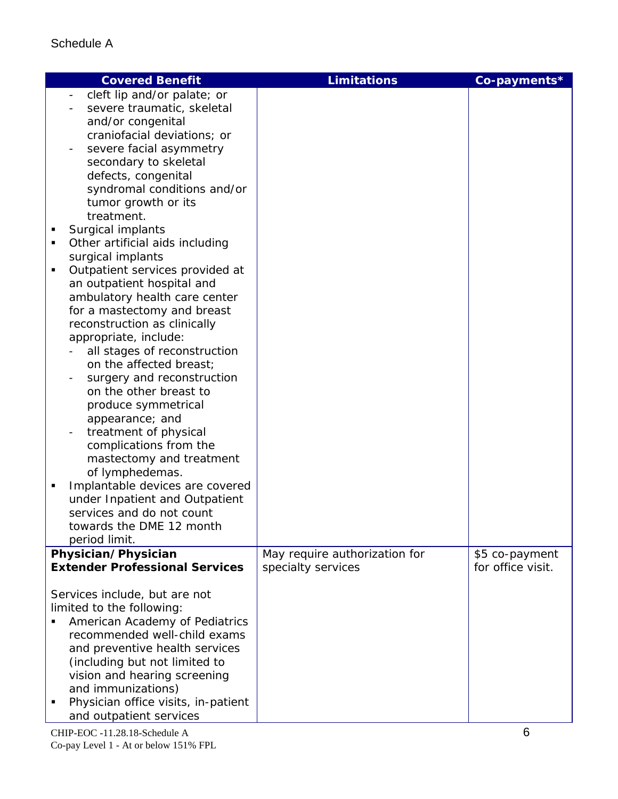| <b>Covered Benefit</b>                                                                                                                                                                                                                                                                                                                                                                                                                                                                                                                                                                                                                                                                                                                                                                                                                                                                                                                                                             | <b>Limitations</b>            | Co-payments*      |
|------------------------------------------------------------------------------------------------------------------------------------------------------------------------------------------------------------------------------------------------------------------------------------------------------------------------------------------------------------------------------------------------------------------------------------------------------------------------------------------------------------------------------------------------------------------------------------------------------------------------------------------------------------------------------------------------------------------------------------------------------------------------------------------------------------------------------------------------------------------------------------------------------------------------------------------------------------------------------------|-------------------------------|-------------------|
| cleft lip and/or palate; or<br>severe traumatic, skeletal<br>and/or congenital<br>craniofacial deviations; or<br>severe facial asymmetry<br>secondary to skeletal<br>defects, congenital<br>syndromal conditions and/or<br>tumor growth or its<br>treatment.<br>Surgical implants<br>Ξ<br>Other artificial aids including<br>п<br>surgical implants<br>Outpatient services provided at<br>$\blacksquare$<br>an outpatient hospital and<br>ambulatory health care center<br>for a mastectomy and breast<br>reconstruction as clinically<br>appropriate, include:<br>all stages of reconstruction<br>on the affected breast;<br>surgery and reconstruction<br>on the other breast to<br>produce symmetrical<br>appearance; and<br>treatment of physical<br>complications from the<br>mastectomy and treatment<br>of lymphedemas.<br>Implantable devices are covered<br>٠<br>under Inpatient and Outpatient<br>services and do not count<br>towards the DME 12 month<br>period limit. |                               |                   |
| Physician/Physician                                                                                                                                                                                                                                                                                                                                                                                                                                                                                                                                                                                                                                                                                                                                                                                                                                                                                                                                                                | May require authorization for | \$5 co-payment    |
| <b>Extender Professional Services</b>                                                                                                                                                                                                                                                                                                                                                                                                                                                                                                                                                                                                                                                                                                                                                                                                                                                                                                                                              | specialty services            | for office visit. |
| Services include, but are not<br>limited to the following:<br>American Academy of Pediatrics<br>recommended well-child exams<br>and preventive health services<br>(including but not limited to<br>vision and hearing screening<br>and immunizations)<br>Physician office visits, in-patient<br>and outpatient services                                                                                                                                                                                                                                                                                                                                                                                                                                                                                                                                                                                                                                                            |                               |                   |

 $CHIP-EOC -11.28.18-Schedule A$  6 Co-pay Level 1 - At or below 151% FPL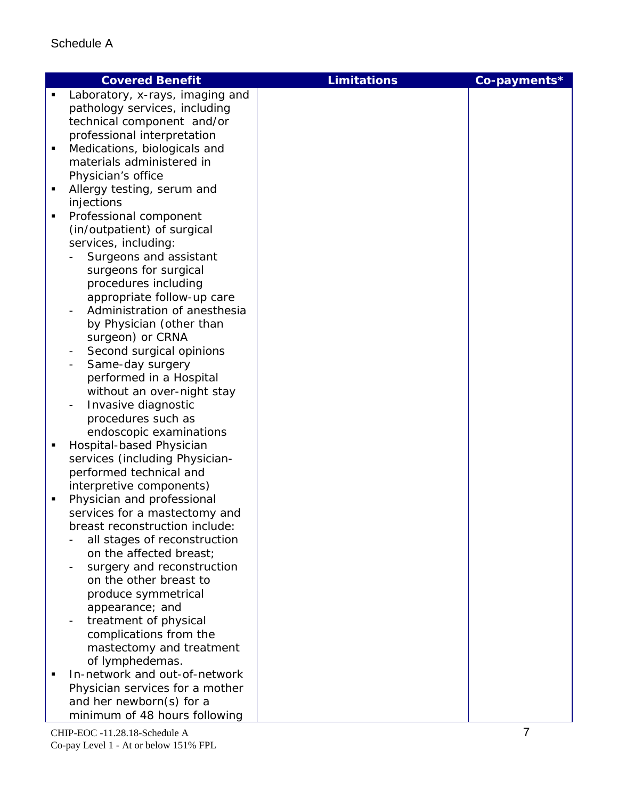| Laboratory, x-rays, imaging and<br>$\blacksquare$<br>pathology services, including<br>technical component and/or<br>professional interpretation<br>Medications, biologicals and<br>٠<br>materials administered in<br>Physician's office<br>Allergy testing, serum and<br>٠<br>injections<br>Professional component<br>٠<br>(in/outpatient) of surgical<br>services, including:<br>Surgeons and assistant<br>surgeons for surgical<br>procedures including<br>appropriate follow-up care<br>Administration of anesthesia<br>by Physician (other than<br>surgeon) or CRNA<br>Second surgical opinions<br>÷<br>Same-day surgery<br>$\overline{\phantom{0}}$<br>performed in a Hospital<br>without an over-night stay<br>Invasive diagnostic<br>procedures such as<br>endoscopic examinations<br>Hospital-based Physician<br>٠<br>services (including Physician-<br>performed technical and<br>interpretive components)<br>Physician and professional<br>٠ |
|--------------------------------------------------------------------------------------------------------------------------------------------------------------------------------------------------------------------------------------------------------------------------------------------------------------------------------------------------------------------------------------------------------------------------------------------------------------------------------------------------------------------------------------------------------------------------------------------------------------------------------------------------------------------------------------------------------------------------------------------------------------------------------------------------------------------------------------------------------------------------------------------------------------------------------------------------------|
|                                                                                                                                                                                                                                                                                                                                                                                                                                                                                                                                                                                                                                                                                                                                                                                                                                                                                                                                                        |
|                                                                                                                                                                                                                                                                                                                                                                                                                                                                                                                                                                                                                                                                                                                                                                                                                                                                                                                                                        |
|                                                                                                                                                                                                                                                                                                                                                                                                                                                                                                                                                                                                                                                                                                                                                                                                                                                                                                                                                        |
|                                                                                                                                                                                                                                                                                                                                                                                                                                                                                                                                                                                                                                                                                                                                                                                                                                                                                                                                                        |
|                                                                                                                                                                                                                                                                                                                                                                                                                                                                                                                                                                                                                                                                                                                                                                                                                                                                                                                                                        |
|                                                                                                                                                                                                                                                                                                                                                                                                                                                                                                                                                                                                                                                                                                                                                                                                                                                                                                                                                        |
|                                                                                                                                                                                                                                                                                                                                                                                                                                                                                                                                                                                                                                                                                                                                                                                                                                                                                                                                                        |
|                                                                                                                                                                                                                                                                                                                                                                                                                                                                                                                                                                                                                                                                                                                                                                                                                                                                                                                                                        |
|                                                                                                                                                                                                                                                                                                                                                                                                                                                                                                                                                                                                                                                                                                                                                                                                                                                                                                                                                        |
|                                                                                                                                                                                                                                                                                                                                                                                                                                                                                                                                                                                                                                                                                                                                                                                                                                                                                                                                                        |
|                                                                                                                                                                                                                                                                                                                                                                                                                                                                                                                                                                                                                                                                                                                                                                                                                                                                                                                                                        |
|                                                                                                                                                                                                                                                                                                                                                                                                                                                                                                                                                                                                                                                                                                                                                                                                                                                                                                                                                        |
|                                                                                                                                                                                                                                                                                                                                                                                                                                                                                                                                                                                                                                                                                                                                                                                                                                                                                                                                                        |
|                                                                                                                                                                                                                                                                                                                                                                                                                                                                                                                                                                                                                                                                                                                                                                                                                                                                                                                                                        |
|                                                                                                                                                                                                                                                                                                                                                                                                                                                                                                                                                                                                                                                                                                                                                                                                                                                                                                                                                        |
|                                                                                                                                                                                                                                                                                                                                                                                                                                                                                                                                                                                                                                                                                                                                                                                                                                                                                                                                                        |
|                                                                                                                                                                                                                                                                                                                                                                                                                                                                                                                                                                                                                                                                                                                                                                                                                                                                                                                                                        |
|                                                                                                                                                                                                                                                                                                                                                                                                                                                                                                                                                                                                                                                                                                                                                                                                                                                                                                                                                        |
|                                                                                                                                                                                                                                                                                                                                                                                                                                                                                                                                                                                                                                                                                                                                                                                                                                                                                                                                                        |
|                                                                                                                                                                                                                                                                                                                                                                                                                                                                                                                                                                                                                                                                                                                                                                                                                                                                                                                                                        |
|                                                                                                                                                                                                                                                                                                                                                                                                                                                                                                                                                                                                                                                                                                                                                                                                                                                                                                                                                        |
|                                                                                                                                                                                                                                                                                                                                                                                                                                                                                                                                                                                                                                                                                                                                                                                                                                                                                                                                                        |
|                                                                                                                                                                                                                                                                                                                                                                                                                                                                                                                                                                                                                                                                                                                                                                                                                                                                                                                                                        |
|                                                                                                                                                                                                                                                                                                                                                                                                                                                                                                                                                                                                                                                                                                                                                                                                                                                                                                                                                        |
|                                                                                                                                                                                                                                                                                                                                                                                                                                                                                                                                                                                                                                                                                                                                                                                                                                                                                                                                                        |
|                                                                                                                                                                                                                                                                                                                                                                                                                                                                                                                                                                                                                                                                                                                                                                                                                                                                                                                                                        |
|                                                                                                                                                                                                                                                                                                                                                                                                                                                                                                                                                                                                                                                                                                                                                                                                                                                                                                                                                        |
|                                                                                                                                                                                                                                                                                                                                                                                                                                                                                                                                                                                                                                                                                                                                                                                                                                                                                                                                                        |
|                                                                                                                                                                                                                                                                                                                                                                                                                                                                                                                                                                                                                                                                                                                                                                                                                                                                                                                                                        |
|                                                                                                                                                                                                                                                                                                                                                                                                                                                                                                                                                                                                                                                                                                                                                                                                                                                                                                                                                        |
|                                                                                                                                                                                                                                                                                                                                                                                                                                                                                                                                                                                                                                                                                                                                                                                                                                                                                                                                                        |
| services for a mastectomy and<br>breast reconstruction include:                                                                                                                                                                                                                                                                                                                                                                                                                                                                                                                                                                                                                                                                                                                                                                                                                                                                                        |
| all stages of reconstruction                                                                                                                                                                                                                                                                                                                                                                                                                                                                                                                                                                                                                                                                                                                                                                                                                                                                                                                           |
| on the affected breast;                                                                                                                                                                                                                                                                                                                                                                                                                                                                                                                                                                                                                                                                                                                                                                                                                                                                                                                                |
| surgery and reconstruction                                                                                                                                                                                                                                                                                                                                                                                                                                                                                                                                                                                                                                                                                                                                                                                                                                                                                                                             |
| on the other breast to                                                                                                                                                                                                                                                                                                                                                                                                                                                                                                                                                                                                                                                                                                                                                                                                                                                                                                                                 |
| produce symmetrical                                                                                                                                                                                                                                                                                                                                                                                                                                                                                                                                                                                                                                                                                                                                                                                                                                                                                                                                    |
| appearance; and                                                                                                                                                                                                                                                                                                                                                                                                                                                                                                                                                                                                                                                                                                                                                                                                                                                                                                                                        |
| treatment of physical                                                                                                                                                                                                                                                                                                                                                                                                                                                                                                                                                                                                                                                                                                                                                                                                                                                                                                                                  |
| complications from the                                                                                                                                                                                                                                                                                                                                                                                                                                                                                                                                                                                                                                                                                                                                                                                                                                                                                                                                 |
| mastectomy and treatment                                                                                                                                                                                                                                                                                                                                                                                                                                                                                                                                                                                                                                                                                                                                                                                                                                                                                                                               |
| of lymphedemas.                                                                                                                                                                                                                                                                                                                                                                                                                                                                                                                                                                                                                                                                                                                                                                                                                                                                                                                                        |
| In-network and out-of-network                                                                                                                                                                                                                                                                                                                                                                                                                                                                                                                                                                                                                                                                                                                                                                                                                                                                                                                          |
| Physician services for a mother                                                                                                                                                                                                                                                                                                                                                                                                                                                                                                                                                                                                                                                                                                                                                                                                                                                                                                                        |
| and her newborn(s) for a                                                                                                                                                                                                                                                                                                                                                                                                                                                                                                                                                                                                                                                                                                                                                                                                                                                                                                                               |
| minimum of 48 hours following                                                                                                                                                                                                                                                                                                                                                                                                                                                                                                                                                                                                                                                                                                                                                                                                                                                                                                                          |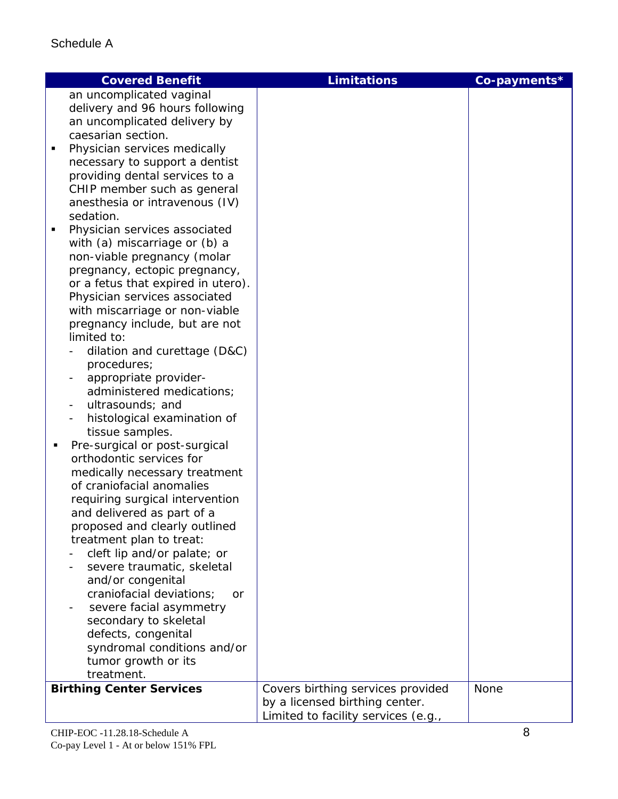| <b>Covered Benefit</b>                                              | <b>Limitations</b>                                                  | Co-payments* |
|---------------------------------------------------------------------|---------------------------------------------------------------------|--------------|
| an uncomplicated vaginal                                            |                                                                     |              |
| delivery and 96 hours following                                     |                                                                     |              |
| an uncomplicated delivery by<br>caesarian section.                  |                                                                     |              |
| Physician services medically<br>$\blacksquare$                      |                                                                     |              |
| necessary to support a dentist                                      |                                                                     |              |
| providing dental services to a                                      |                                                                     |              |
| CHIP member such as general                                         |                                                                     |              |
| anesthesia or intravenous (IV)                                      |                                                                     |              |
| sedation.                                                           |                                                                     |              |
| Physician services associated<br>п                                  |                                                                     |              |
| with (a) miscarriage or (b) a                                       |                                                                     |              |
| non-viable pregnancy (molar                                         |                                                                     |              |
| pregnancy, ectopic pregnancy,<br>or a fetus that expired in utero). |                                                                     |              |
| Physician services associated                                       |                                                                     |              |
| with miscarriage or non-viable                                      |                                                                     |              |
| pregnancy include, but are not                                      |                                                                     |              |
| limited to:                                                         |                                                                     |              |
| dilation and curettage (D&C)                                        |                                                                     |              |
| procedures;                                                         |                                                                     |              |
| appropriate provider-                                               |                                                                     |              |
| administered medications;                                           |                                                                     |              |
| ultrasounds; and                                                    |                                                                     |              |
| histological examination of<br>tissue samples.                      |                                                                     |              |
| Pre-surgical or post-surgical<br>٠                                  |                                                                     |              |
| orthodontic services for                                            |                                                                     |              |
| medically necessary treatment                                       |                                                                     |              |
| of craniofacial anomalies                                           |                                                                     |              |
| requiring surgical intervention                                     |                                                                     |              |
| and delivered as part of a                                          |                                                                     |              |
| proposed and clearly outlined                                       |                                                                     |              |
| treatment plan to treat:                                            |                                                                     |              |
| cleft lip and/or palate; or<br>severe traumatic, skeletal           |                                                                     |              |
| and/or congenital                                                   |                                                                     |              |
| craniofacial deviations;<br>or                                      |                                                                     |              |
| severe facial asymmetry                                             |                                                                     |              |
| secondary to skeletal                                               |                                                                     |              |
| defects, congenital                                                 |                                                                     |              |
| syndromal conditions and/or                                         |                                                                     |              |
| tumor growth or its                                                 |                                                                     |              |
| treatment.                                                          |                                                                     |              |
| <b>Birthing Center Services</b>                                     | Covers birthing services provided<br>by a licensed birthing center. | None         |
|                                                                     | Limited to facility services (e.g.,                                 |              |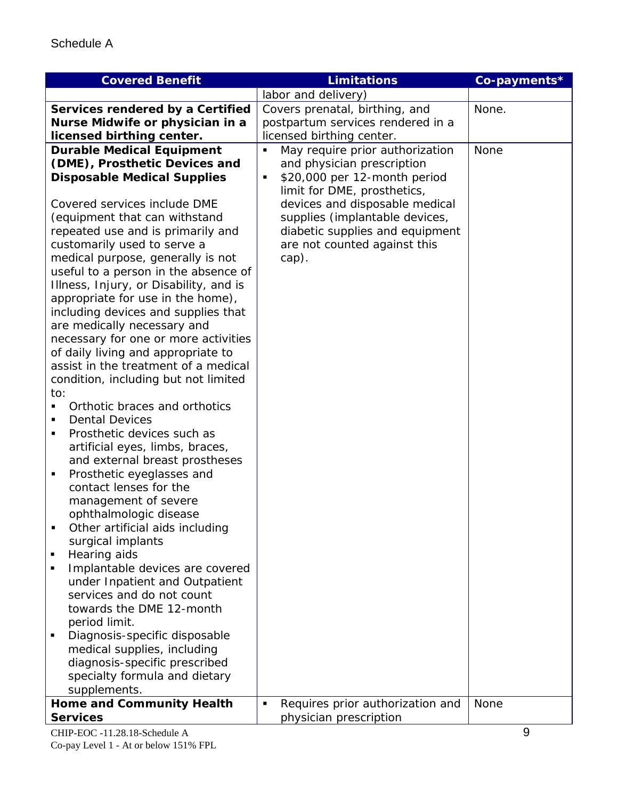| <b>Covered Benefit</b>                                                     | <b>Limitations</b>                | Co-payments* |
|----------------------------------------------------------------------------|-----------------------------------|--------------|
|                                                                            | labor and delivery)               |              |
| Services rendered by a Certified                                           | Covers prenatal, birthing, and    | None.        |
| Nurse Midwife or physician in a                                            | postpartum services rendered in a |              |
| licensed birthing center.                                                  | licensed birthing center.         |              |
| <b>Durable Medical Equipment</b>                                           | May require prior authorization   | None         |
| (DME), Prosthetic Devices and                                              | and physician prescription        |              |
| <b>Disposable Medical Supplies</b>                                         | \$20,000 per 12-month period<br>Ξ |              |
|                                                                            | limit for DME, prosthetics,       |              |
| Covered services include DME                                               | devices and disposable medical    |              |
| (equipment that can withstand                                              | supplies (implantable devices,    |              |
| repeated use and is primarily and                                          | diabetic supplies and equipment   |              |
| customarily used to serve a                                                | are not counted against this      |              |
| medical purpose, generally is not                                          | cap).                             |              |
| useful to a person in the absence of                                       |                                   |              |
| Illness, Injury, or Disability, and is                                     |                                   |              |
| appropriate for use in the home),                                          |                                   |              |
| including devices and supplies that                                        |                                   |              |
| are medically necessary and                                                |                                   |              |
| necessary for one or more activities                                       |                                   |              |
| of daily living and appropriate to<br>assist in the treatment of a medical |                                   |              |
| condition, including but not limited                                       |                                   |              |
| to:                                                                        |                                   |              |
| Orthotic braces and orthotics<br>$\blacksquare$                            |                                   |              |
| <b>Dental Devices</b><br>$\blacksquare$                                    |                                   |              |
| Prosthetic devices such as<br>٠                                            |                                   |              |
| artificial eyes, limbs, braces,                                            |                                   |              |
| and external breast prostheses                                             |                                   |              |
| Prosthetic eyeglasses and<br>٠                                             |                                   |              |
| contact lenses for the                                                     |                                   |              |
| management of severe                                                       |                                   |              |
| ophthalmologic disease                                                     |                                   |              |
| Other artificial aids including<br>п                                       |                                   |              |
| surgical implants                                                          |                                   |              |
| Hearing aids<br>п                                                          |                                   |              |
| Implantable devices are covered<br>٠                                       |                                   |              |
| under Inpatient and Outpatient                                             |                                   |              |
| services and do not count                                                  |                                   |              |
| towards the DME 12-month                                                   |                                   |              |
| period limit.                                                              |                                   |              |
| Diagnosis-specific disposable<br>٠                                         |                                   |              |
| medical supplies, including                                                |                                   |              |
| diagnosis-specific prescribed                                              |                                   |              |
| specialty formula and dietary                                              |                                   |              |
| supplements.                                                               | Ξ                                 | None         |
| <b>Home and Community Health</b><br><b>Services</b>                        | Requires prior authorization and  |              |
|                                                                            | physician prescription            |              |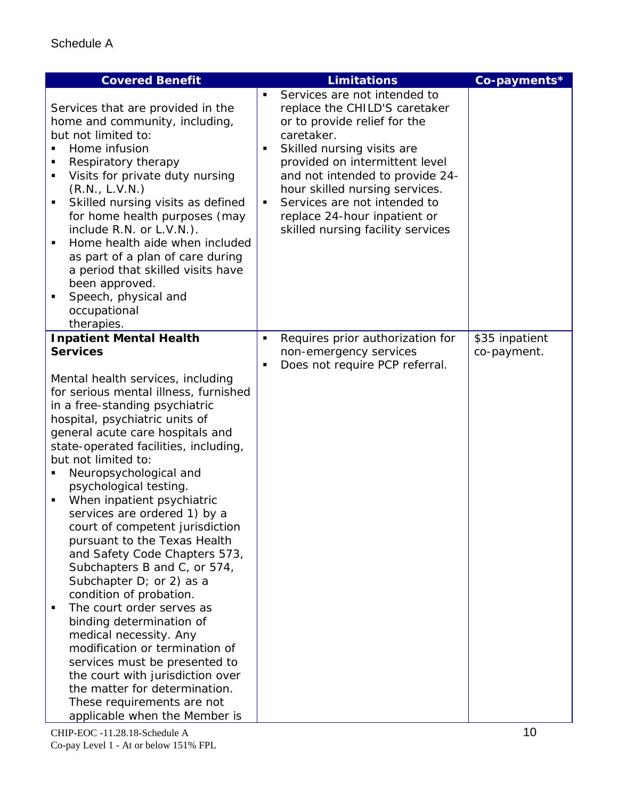| <b>Covered Benefit</b>                                                                                                                                                                                                                                                                                                                                                                                                                                                                                                                                                                                                                                                                                                                                                                                                                                                                                            | <b>Limitations</b>                                                                                                                                                                                                                                                                                                                                                           | Co-payments*   |
|-------------------------------------------------------------------------------------------------------------------------------------------------------------------------------------------------------------------------------------------------------------------------------------------------------------------------------------------------------------------------------------------------------------------------------------------------------------------------------------------------------------------------------------------------------------------------------------------------------------------------------------------------------------------------------------------------------------------------------------------------------------------------------------------------------------------------------------------------------------------------------------------------------------------|------------------------------------------------------------------------------------------------------------------------------------------------------------------------------------------------------------------------------------------------------------------------------------------------------------------------------------------------------------------------------|----------------|
| Services that are provided in the<br>home and community, including,<br>but not limited to:<br>Home infusion<br>Respiratory therapy<br>٠<br>Visits for private duty nursing<br>٠<br>(R.N., L.V.N.)<br>Skilled nursing visits as defined<br>$\blacksquare$<br>for home health purposes (may<br>include R.N. or L.V.N.).<br>Home health aide when included<br>as part of a plan of care during<br>a period that skilled visits have<br>been approved.<br>Speech, physical and<br>occupational<br>therapies.                                                                                                                                                                                                                                                                                                                                                                                                          | Services are not intended to<br>replace the CHILD'S caretaker<br>or to provide relief for the<br>caretaker.<br>Skilled nursing visits are<br>٠<br>provided on intermittent level<br>and not intended to provide 24-<br>hour skilled nursing services.<br>Services are not intended to<br>$\blacksquare$<br>replace 24-hour inpatient or<br>skilled nursing facility services |                |
| <b>Inpatient Mental Health</b>                                                                                                                                                                                                                                                                                                                                                                                                                                                                                                                                                                                                                                                                                                                                                                                                                                                                                    | Requires prior authorization for<br>$\blacksquare$                                                                                                                                                                                                                                                                                                                           | \$35 inpatient |
| <b>Services</b>                                                                                                                                                                                                                                                                                                                                                                                                                                                                                                                                                                                                                                                                                                                                                                                                                                                                                                   | non-emergency services<br>Does not require PCP referral.<br>п                                                                                                                                                                                                                                                                                                                | co-payment.    |
| Mental health services, including<br>for serious mental illness, furnished<br>in a free-standing psychiatric<br>hospital, psychiatric units of<br>general acute care hospitals and<br>state-operated facilities, including,<br>but not limited to:<br>Neuropsychological and<br>psychological testing.<br>When inpatient psychiatric<br>$\blacksquare$<br>services are ordered 1) by a<br>court of competent jurisdiction<br>pursuant to the Texas Health<br>and Safety Code Chapters 573,<br>Subchapters B and C, or 574,<br>Subchapter D; or 2) as a<br>condition of probation.<br>The court order serves as<br>٠<br>binding determination of<br>medical necessity. Any<br>modification or termination of<br>services must be presented to<br>the court with jurisdiction over<br>the matter for determination.<br>These requirements are not<br>applicable when the Member is<br>CHIP-EOC -11.28.18-Schedule A |                                                                                                                                                                                                                                                                                                                                                                              | 10             |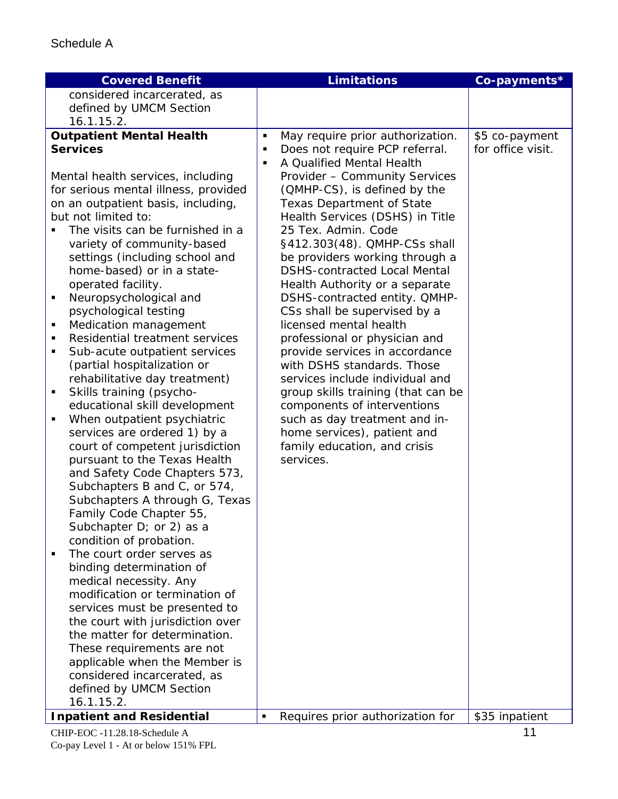| <b>Covered Benefit</b>                                       |                | <b>Limitations</b>                                              | Co-payments*      |
|--------------------------------------------------------------|----------------|-----------------------------------------------------------------|-------------------|
| considered incarcerated, as                                  |                |                                                                 |                   |
| defined by UMCM Section                                      |                |                                                                 |                   |
| 16.1.15.2.                                                   |                |                                                                 |                   |
| <b>Outpatient Mental Health</b>                              | ٠              | May require prior authorization.                                | \$5 co-payment    |
| <b>Services</b>                                              | ٠              | Does not require PCP referral.                                  | for office visit. |
|                                                              | П              | A Qualified Mental Health                                       |                   |
| Mental health services, including                            |                | Provider - Community Services                                   |                   |
| for serious mental illness, provided                         |                | (QMHP-CS), is defined by the                                    |                   |
| on an outpatient basis, including,                           |                | <b>Texas Department of State</b>                                |                   |
| but not limited to:                                          |                | Health Services (DSHS) in Title                                 |                   |
| The visits can be furnished in a                             |                | 25 Tex. Admin. Code                                             |                   |
| variety of community-based                                   |                | §412.303(48). QMHP-CSs shall                                    |                   |
| settings (including school and                               |                | be providers working through a                                  |                   |
| home-based) or in a state-                                   |                | <b>DSHS-contracted Local Mental</b>                             |                   |
| operated facility.                                           |                |                                                                 |                   |
| Neuropsychological and<br>٠                                  |                | Health Authority or a separate<br>DSHS-contracted entity. QMHP- |                   |
| psychological testing                                        |                |                                                                 |                   |
|                                                              |                | CSs shall be supervised by a<br>licensed mental health          |                   |
| Medication management<br>٠<br>Residential treatment services |                |                                                                 |                   |
| ٠                                                            |                | professional or physician and                                   |                   |
| Sub-acute outpatient services<br>٠                           |                | provide services in accordance                                  |                   |
| (partial hospitalization or                                  |                | with DSHS standards. Those                                      |                   |
| rehabilitative day treatment)                                |                | services include individual and                                 |                   |
| Skills training (psycho-<br>٠                                |                | group skills training (that can be                              |                   |
| educational skill development                                |                | components of interventions                                     |                   |
| When outpatient psychiatric<br>$\blacksquare$                |                | such as day treatment and in-                                   |                   |
| services are ordered 1) by a                                 |                | home services), patient and                                     |                   |
| court of competent jurisdiction                              |                | family education, and crisis                                    |                   |
| pursuant to the Texas Health                                 |                | services.                                                       |                   |
| and Safety Code Chapters 573,                                |                |                                                                 |                   |
| Subchapters B and C, or 574,                                 |                |                                                                 |                   |
| Subchapters A through G, Texas                               |                |                                                                 |                   |
| Family Code Chapter 55,                                      |                |                                                                 |                   |
| Subchapter $D$ ; or 2) as a                                  |                |                                                                 |                   |
| condition of probation.                                      |                |                                                                 |                   |
| The court order serves as<br>$\blacksquare$                  |                |                                                                 |                   |
| binding determination of                                     |                |                                                                 |                   |
| medical necessity. Any                                       |                |                                                                 |                   |
| modification or termination of                               |                |                                                                 |                   |
| services must be presented to                                |                |                                                                 |                   |
| the court with jurisdiction over                             |                |                                                                 |                   |
| the matter for determination.                                |                |                                                                 |                   |
| These requirements are not                                   |                |                                                                 |                   |
| applicable when the Member is                                |                |                                                                 |                   |
| considered incarcerated, as                                  |                |                                                                 |                   |
| defined by UMCM Section                                      |                |                                                                 |                   |
| 16.1.15.2.                                                   |                |                                                                 |                   |
| <b>Inpatient and Residential</b>                             | $\blacksquare$ | Requires prior authorization for                                | \$35 inpatient    |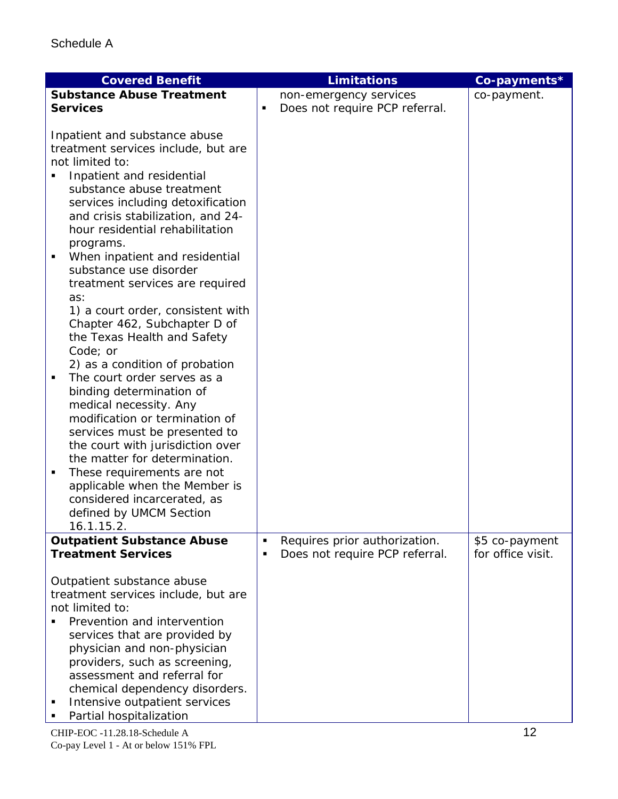| <b>Covered Benefit</b>                                                                                                                                                                                                                                                                                                                                                                                                                                                                                                                                                                                                                                                                                                                                                                                                                                                                                       | <b>Limitations</b>                                                   | Co-payments*                        |
|--------------------------------------------------------------------------------------------------------------------------------------------------------------------------------------------------------------------------------------------------------------------------------------------------------------------------------------------------------------------------------------------------------------------------------------------------------------------------------------------------------------------------------------------------------------------------------------------------------------------------------------------------------------------------------------------------------------------------------------------------------------------------------------------------------------------------------------------------------------------------------------------------------------|----------------------------------------------------------------------|-------------------------------------|
| <b>Substance Abuse Treatment</b>                                                                                                                                                                                                                                                                                                                                                                                                                                                                                                                                                                                                                                                                                                                                                                                                                                                                             | non-emergency services                                               | co-payment.                         |
| <b>Services</b>                                                                                                                                                                                                                                                                                                                                                                                                                                                                                                                                                                                                                                                                                                                                                                                                                                                                                              | Does not require PCP referral.<br>٠                                  |                                     |
| Inpatient and substance abuse<br>treatment services include, but are<br>not limited to:<br>Inpatient and residential<br>substance abuse treatment<br>services including detoxification<br>and crisis stabilization, and 24-<br>hour residential rehabilitation<br>programs.<br>When inpatient and residential<br>substance use disorder<br>treatment services are required<br>as:<br>1) a court order, consistent with<br>Chapter 462, Subchapter D of<br>the Texas Health and Safety<br>Code; or<br>2) as a condition of probation<br>The court order serves as a<br>binding determination of<br>medical necessity. Any<br>modification or termination of<br>services must be presented to<br>the court with jurisdiction over<br>the matter for determination.<br>These requirements are not<br>п<br>applicable when the Member is<br>considered incarcerated, as<br>defined by UMCM Section<br>16.1.15.2. |                                                                      |                                     |
| <b>Outpatient Substance Abuse</b><br><b>Treatment Services</b>                                                                                                                                                                                                                                                                                                                                                                                                                                                                                                                                                                                                                                                                                                                                                                                                                                               | Requires prior authorization.<br>П<br>Does not require PCP referral. | \$5 co-payment<br>for office visit. |
| Outpatient substance abuse<br>treatment services include, but are<br>not limited to:<br>Prevention and intervention<br>services that are provided by<br>physician and non-physician<br>providers, such as screening,<br>assessment and referral for<br>chemical dependency disorders.<br>Intensive outpatient services<br>Partial hospitalization                                                                                                                                                                                                                                                                                                                                                                                                                                                                                                                                                            |                                                                      |                                     |

CHIP-EOC -11.28.18-Schedule A 12 Co-pay Level 1 - At or below 151% FPL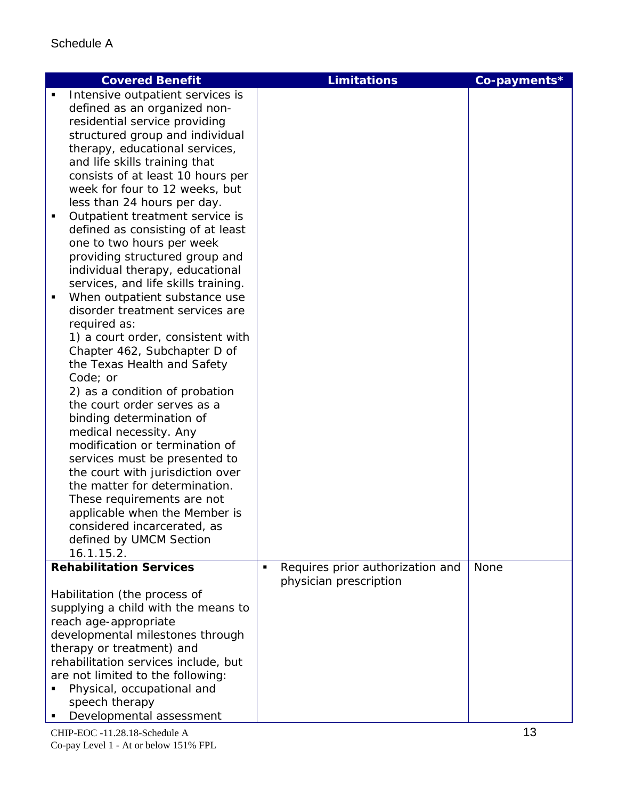| <b>Covered Benefit</b>                                              | <b>Limitations</b>                    | Co-payments* |
|---------------------------------------------------------------------|---------------------------------------|--------------|
| Intensive outpatient services is                                    |                                       |              |
| defined as an organized non-                                        |                                       |              |
| residential service providing                                       |                                       |              |
| structured group and individual                                     |                                       |              |
| therapy, educational services,                                      |                                       |              |
| and life skills training that                                       |                                       |              |
| consists of at least 10 hours per<br>week for four to 12 weeks, but |                                       |              |
| less than 24 hours per day.                                         |                                       |              |
| Outpatient treatment service is<br>٠                                |                                       |              |
| defined as consisting of at least                                   |                                       |              |
| one to two hours per week                                           |                                       |              |
| providing structured group and                                      |                                       |              |
| individual therapy, educational                                     |                                       |              |
| services, and life skills training.                                 |                                       |              |
| When outpatient substance use<br>п                                  |                                       |              |
| disorder treatment services are                                     |                                       |              |
| required as:                                                        |                                       |              |
| 1) a court order, consistent with                                   |                                       |              |
| Chapter 462, Subchapter D of                                        |                                       |              |
| the Texas Health and Safety<br>Code; or                             |                                       |              |
| 2) as a condition of probation                                      |                                       |              |
| the court order serves as a                                         |                                       |              |
| binding determination of                                            |                                       |              |
| medical necessity. Any                                              |                                       |              |
| modification or termination of                                      |                                       |              |
| services must be presented to                                       |                                       |              |
| the court with jurisdiction over                                    |                                       |              |
| the matter for determination.                                       |                                       |              |
| These requirements are not                                          |                                       |              |
| applicable when the Member is                                       |                                       |              |
| considered incarcerated, as                                         |                                       |              |
| defined by UMCM Section                                             |                                       |              |
| 16.1.15.2.<br><b>Rehabilitation Services</b>                        | Requires prior authorization and<br>٠ | None         |
|                                                                     | physician prescription                |              |
| Habilitation (the process of                                        |                                       |              |
| supplying a child with the means to                                 |                                       |              |
| reach age-appropriate                                               |                                       |              |
| developmental milestones through                                    |                                       |              |
| therapy or treatment) and                                           |                                       |              |
| rehabilitation services include, but                                |                                       |              |
| are not limited to the following:                                   |                                       |              |
| Physical, occupational and                                          |                                       |              |
| speech therapy                                                      |                                       |              |
| Developmental assessment                                            |                                       |              |

CHIP-EOC -11.28.18-Schedule A 13 Co-pay Level 1 - At or below 151% FPL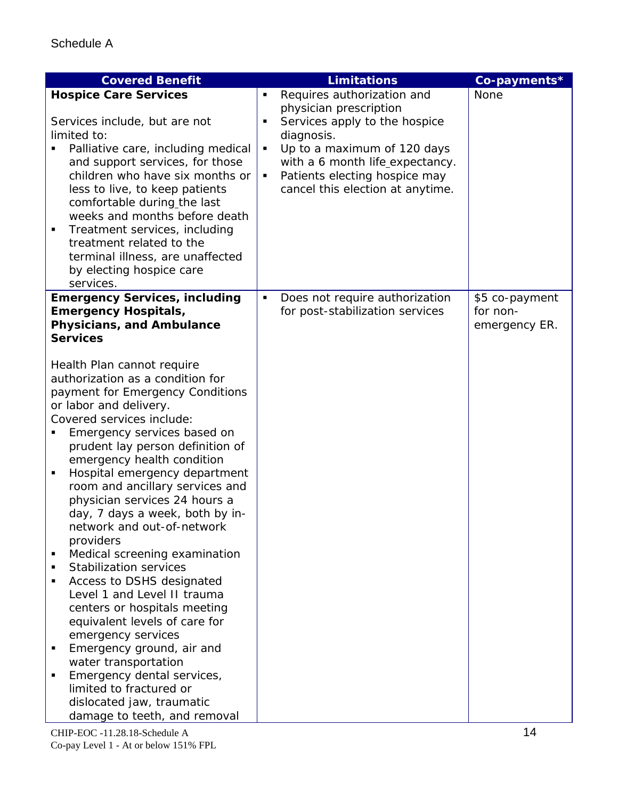| <b>Covered Benefit</b>                                                                                                                                                                                                                                                                                                                                                                                                                                                                                                                                                                                                                                                             |                  | <b>Limitations</b>                                                                                                                                                                                                                         | Co-payments*                                |
|------------------------------------------------------------------------------------------------------------------------------------------------------------------------------------------------------------------------------------------------------------------------------------------------------------------------------------------------------------------------------------------------------------------------------------------------------------------------------------------------------------------------------------------------------------------------------------------------------------------------------------------------------------------------------------|------------------|--------------------------------------------------------------------------------------------------------------------------------------------------------------------------------------------------------------------------------------------|---------------------------------------------|
| <b>Hospice Care Services</b><br>Services include, but are not<br>limited to:<br>Palliative care, including medical<br>and support services, for those<br>children who have six months or<br>less to live, to keep patients<br>comfortable during the last<br>weeks and months before death<br>Treatment services, including<br>٠<br>treatment related to the<br>terminal illness, are unaffected<br>by electing hospice care<br>services.                                                                                                                                                                                                                                          | ٠<br>Ξ<br>٠<br>٠ | Requires authorization and<br>physician prescription<br>Services apply to the hospice<br>diagnosis.<br>Up to a maximum of 120 days<br>with a 6 month life_expectancy.<br>Patients electing hospice may<br>cancel this election at anytime. | None                                        |
| <b>Emergency Services, including</b><br><b>Emergency Hospitals,</b><br>Physicians, and Ambulance<br><b>Services</b><br>Health Plan cannot require<br>authorization as a condition for<br>payment for Emergency Conditions<br>or labor and delivery.<br>Covered services include:<br>Emergency services based on<br>prudent lay person definition of<br>emergency health condition<br>Hospital emergency department<br>٠<br>room and ancillary services and<br>physician services 24 hours a<br>day, 7 days a week, both by in-<br>network and out-of-network<br>providers<br>Medical screening examination<br>٠<br><b>Stabilization services</b><br>٠<br>Access to DSHS designated | $\blacksquare$   | Does not require authorization<br>for post-stabilization services                                                                                                                                                                          | \$5 co-payment<br>for non-<br>emergency ER. |
| Level 1 and Level II trauma<br>centers or hospitals meeting<br>equivalent levels of care for<br>emergency services<br>Emergency ground, air and<br>water transportation<br>Emergency dental services,<br>limited to fractured or<br>dislocated jaw, traumatic<br>damage to teeth, and removal                                                                                                                                                                                                                                                                                                                                                                                      |                  |                                                                                                                                                                                                                                            |                                             |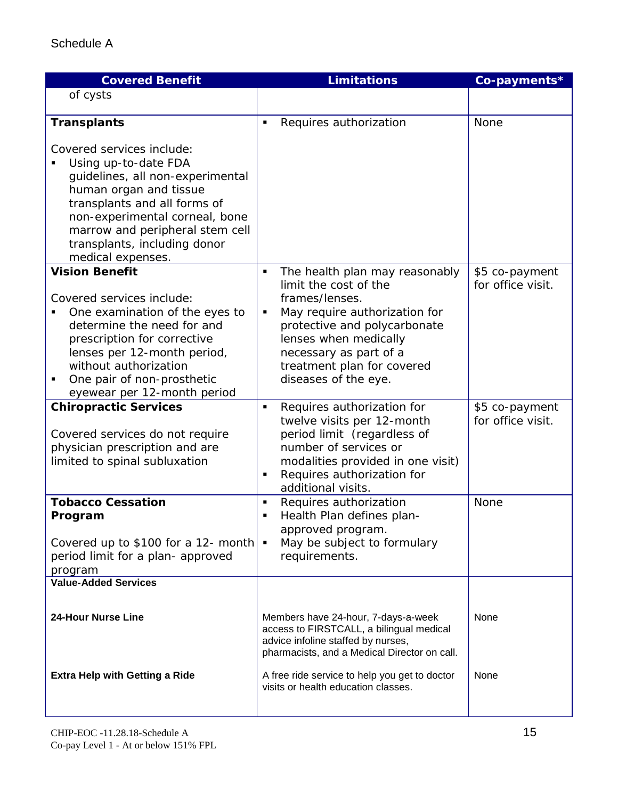| <b>Covered Benefit</b>                                                                                                                                                                                                                                                                          | <b>Limitations</b>                                                                                                                                                                                                                                            | Co-payments*                        |
|-------------------------------------------------------------------------------------------------------------------------------------------------------------------------------------------------------------------------------------------------------------------------------------------------|---------------------------------------------------------------------------------------------------------------------------------------------------------------------------------------------------------------------------------------------------------------|-------------------------------------|
| of cysts                                                                                                                                                                                                                                                                                        |                                                                                                                                                                                                                                                               |                                     |
| <b>Transplants</b><br>Covered services include:<br>Using up-to-date FDA<br>guidelines, all non-experimental<br>human organ and tissue<br>transplants and all forms of<br>non-experimental corneal, bone<br>marrow and peripheral stem cell<br>transplants, including donor<br>medical expenses. | Requires authorization<br>Ξ                                                                                                                                                                                                                                   | None                                |
| <b>Vision Benefit</b><br>Covered services include:<br>One examination of the eyes to<br>determine the need for and<br>prescription for corrective<br>lenses per 12-month period,<br>without authorization<br>One pair of non-prosthetic<br>п<br>eyewear per 12-month period                     | The health plan may reasonably<br>٠<br>limit the cost of the<br>frames/lenses.<br>May require authorization for<br>Ξ<br>protective and polycarbonate<br>lenses when medically<br>necessary as part of a<br>treatment plan for covered<br>diseases of the eye. | \$5 co-payment<br>for office visit. |
| <b>Chiropractic Services</b><br>Covered services do not require<br>physician prescription and are<br>limited to spinal subluxation                                                                                                                                                              | Requires authorization for<br>Ξ<br>twelve visits per 12-month<br>period limit (regardless of<br>number of services or<br>modalities provided in one visit)<br>Requires authorization for<br>П<br>additional visits.                                           | \$5 co-payment<br>for office visit. |
| <b>Tobacco Cessation</b><br>Program<br>Covered up to \$100 for a 12- month $\bullet$<br>period limit for a plan- approved<br>program                                                                                                                                                            | Requires authorization<br>٠<br>Health Plan defines plan-<br>٠<br>approved program.<br>May be subject to formulary<br>requirements.                                                                                                                            | None                                |
| <b>Value-Added Services</b>                                                                                                                                                                                                                                                                     |                                                                                                                                                                                                                                                               |                                     |
| <b>24-Hour Nurse Line</b><br><b>Extra Help with Getting a Ride</b>                                                                                                                                                                                                                              | Members have 24-hour, 7-days-a-week<br>access to FIRSTCALL, a bilingual medical<br>advice infoline staffed by nurses,<br>pharmacists, and a Medical Director on call.<br>A free ride service to help you get to doctor                                        | None<br>None                        |
|                                                                                                                                                                                                                                                                                                 | visits or health education classes.                                                                                                                                                                                                                           |                                     |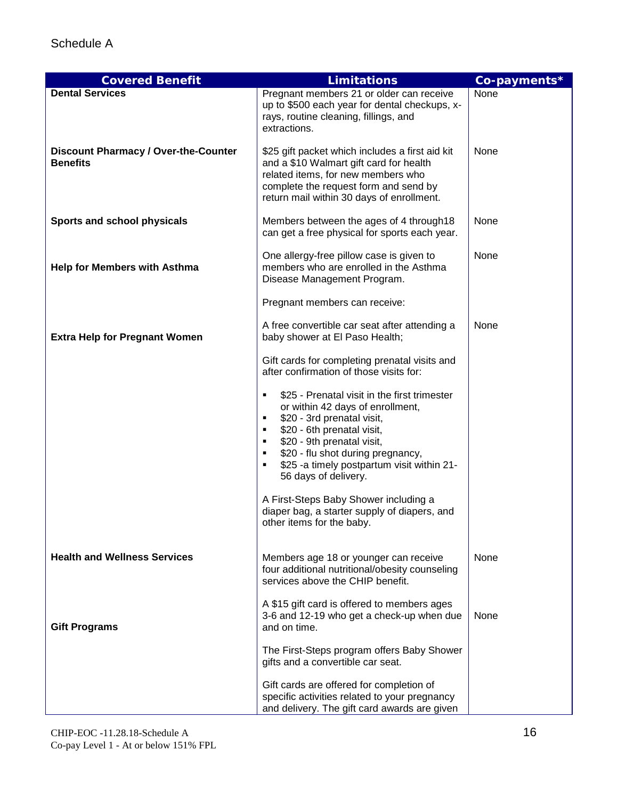| <b>Covered Benefit</b>                                         | <b>Limitations</b>                                                                                                                                                                                                                                                                                             | Co-payments* |
|----------------------------------------------------------------|----------------------------------------------------------------------------------------------------------------------------------------------------------------------------------------------------------------------------------------------------------------------------------------------------------------|--------------|
| <b>Dental Services</b>                                         | Pregnant members 21 or older can receive<br>up to \$500 each year for dental checkups, x-<br>rays, routine cleaning, fillings, and<br>extractions.                                                                                                                                                             | None         |
| <b>Discount Pharmacy / Over-the-Counter</b><br><b>Benefits</b> | \$25 gift packet which includes a first aid kit<br>and a \$10 Walmart gift card for health<br>related items, for new members who<br>complete the request form and send by<br>return mail within 30 days of enrollment.                                                                                         | None         |
| Sports and school physicals                                    | Members between the ages of 4 through 18<br>can get a free physical for sports each year.                                                                                                                                                                                                                      | None         |
| <b>Help for Members with Asthma</b>                            | One allergy-free pillow case is given to<br>members who are enrolled in the Asthma<br>Disease Management Program.                                                                                                                                                                                              | None         |
|                                                                | Pregnant members can receive:                                                                                                                                                                                                                                                                                  |              |
| <b>Extra Help for Pregnant Women</b>                           | A free convertible car seat after attending a<br>baby shower at El Paso Health;                                                                                                                                                                                                                                | None         |
|                                                                | Gift cards for completing prenatal visits and<br>after confirmation of those visits for:                                                                                                                                                                                                                       |              |
|                                                                | \$25 - Prenatal visit in the first trimester<br>or within 42 days of enrollment,<br>\$20 - 3rd prenatal visit,<br>٠<br>\$20 - 6th prenatal visit,<br>٠<br>\$20 - 9th prenatal visit,<br>٠<br>\$20 - flu shot during pregnancy,<br>٠<br>\$25 -a timely postpartum visit within 21-<br>٠<br>56 days of delivery. |              |
|                                                                | A First-Steps Baby Shower including a<br>diaper bag, a starter supply of diapers, and<br>other items for the baby.                                                                                                                                                                                             |              |
| <b>Health and Wellness Services</b>                            | Members age 18 or younger can receive<br>four additional nutritional/obesity counseling<br>services above the CHIP benefit.                                                                                                                                                                                    | None         |
| <b>Gift Programs</b>                                           | A \$15 gift card is offered to members ages<br>3-6 and 12-19 who get a check-up when due<br>and on time.                                                                                                                                                                                                       | None         |
|                                                                | The First-Steps program offers Baby Shower<br>gifts and a convertible car seat.                                                                                                                                                                                                                                |              |
|                                                                | Gift cards are offered for completion of<br>specific activities related to your pregnancy<br>and delivery. The gift card awards are given                                                                                                                                                                      |              |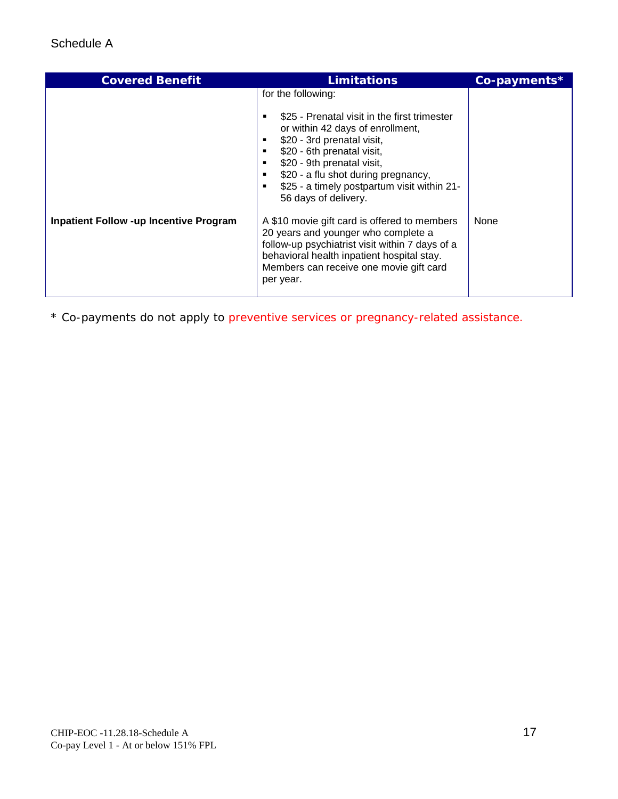| for the following:<br>\$25 - Prenatal visit in the first trimester<br>or within 42 days of enrollment,<br>\$20 - 3rd prenatal visit,<br>\$20 - 6th prenatal visit,<br>\$20 - 9th prenatal visit,<br>\$20 - a flu shot during pregnancy,<br>٠<br>\$25 - a timely postpartum visit within 21-<br>٠<br>56 days of delivery.<br><b>Inpatient Follow -up Incentive Program</b><br>A \$10 movie gift card is offered to members<br>None<br>20 years and younger who complete a<br>follow-up psychiatrist visit within 7 days of a<br>behavioral health inpatient hospital stay.<br>Members can receive one movie gift card |
|----------------------------------------------------------------------------------------------------------------------------------------------------------------------------------------------------------------------------------------------------------------------------------------------------------------------------------------------------------------------------------------------------------------------------------------------------------------------------------------------------------------------------------------------------------------------------------------------------------------------|
| per year.                                                                                                                                                                                                                                                                                                                                                                                                                                                                                                                                                                                                            |

\* Co-payments do not apply to preventive services or pregnancy-related assistance.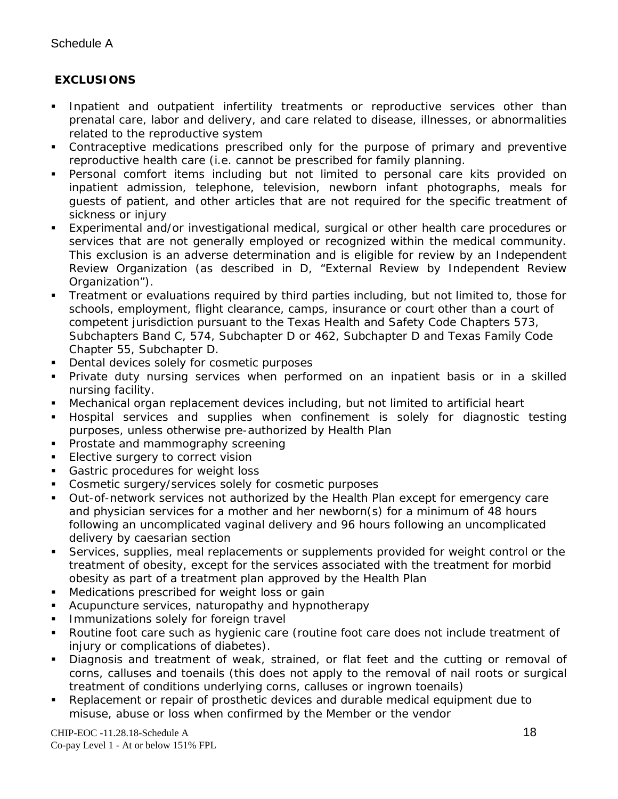## **EXCLUSIONS**

- Inpatient and outpatient infertility treatments or reproductive services other than prenatal care, labor and delivery, and care related to disease, illnesses, or abnormalities related to the reproductive system
- Contraceptive medications prescribed only for the purpose of primary and preventive reproductive health care (i.e. cannot be prescribed for family planning.
- Personal comfort items including but not limited to personal care kits provided on inpatient admission, telephone, television, newborn infant photographs, meals for guests of patient, and other articles that are not required for the specific treatment of sickness or injury
- Experimental and/or investigational medical, surgical or other health care procedures or services that are not generally employed or recognized within the medical community. This exclusion is an adverse determination and is eligible for review by an Independent Review Organization (as described in D, "External Review by Independent Review Organization").
- Treatment or evaluations required by third parties including, but not limited to, those for schools, employment, flight clearance, camps, insurance or court other than a court of competent jurisdiction pursuant to the Texas Health and Safety Code Chapters 573, Subchapters Band C, 574, Subchapter D or 462, Subchapter D and Texas Family Code Chapter 55, Subchapter D.
- **Dental devices solely for cosmetic purposes**
- Private duty nursing services when performed on an inpatient basis or in a skilled nursing facility.
- Mechanical organ replacement devices including, but not limited to artificial heart
- Hospital services and supplies when confinement is solely for diagnostic testing purposes, unless otherwise pre-authorized by Health Plan
- **Prostate and mammography screening**
- **Elective surgery to correct vision**
- Gastric procedures for weight loss
- Cosmetic surgery/services solely for cosmetic purposes
- Out-of-network services not authorized by the Health Plan except for emergency care and physician services for a mother and her newborn(s) for a minimum of 48 hours following an uncomplicated vaginal delivery and 96 hours following an uncomplicated delivery by caesarian section
- Services, supplies, meal replacements or supplements provided for weight control or the treatment of obesity, except for the services associated with the treatment for morbid obesity as part of a treatment plan approved by the Health Plan
- **Medications prescribed for weight loss or gain**
- Acupuncture services, naturopathy and hypnotherapy
- Immunizations solely for foreign travel
- Routine foot care such as hygienic care (routine foot care does not include treatment of injury or complications of diabetes).
- Diagnosis and treatment of weak, strained, or flat feet and the cutting or removal of corns, calluses and toenails (this does not apply to the removal of nail roots or surgical treatment of conditions underlying corns, calluses or ingrown toenails)
- Replacement or repair of prosthetic devices and durable medical equipment due to misuse, abuse or loss when confirmed by the Member or the vendor

CHIP-EOC -11.28.18-Schedule A 18 Co-pay Level 1 - At or below 151% FPL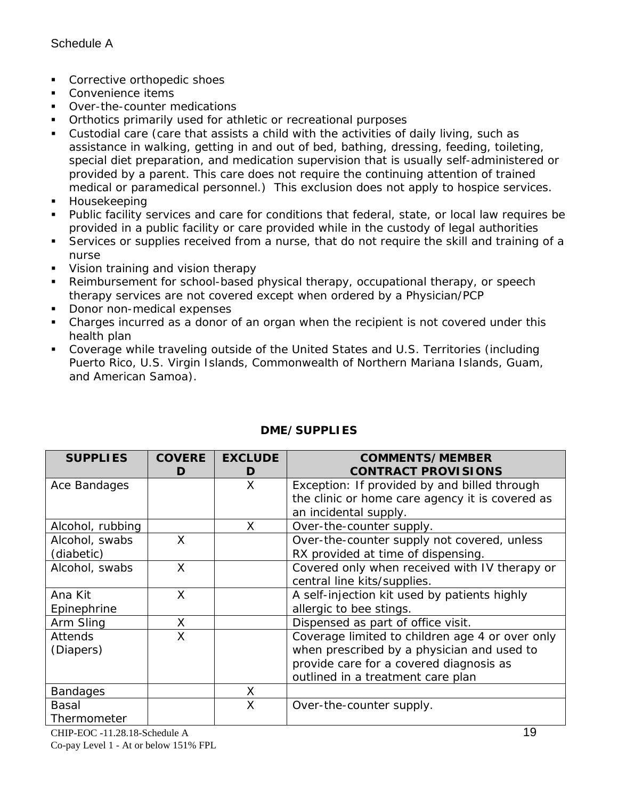- **Corrective orthopedic shoes**
- Convenience items
- Over-the-counter medications
- **•** Orthotics primarily used for athletic or recreational purposes
- Custodial care (care that assists a child with the activities of daily living, such as assistance in walking, getting in and out of bed, bathing, dressing, feeding, toileting, special diet preparation, and medication supervision that is usually self-administered or provided by a parent. This care does not require the continuing attention of trained medical or paramedical personnel.) This exclusion does not apply to hospice services.
- **Housekeeping**
- Public facility services and care for conditions that federal, state, or local law requires be provided in a public facility or care provided while in the custody of legal authorities
- Services or supplies received from a nurse, that do not require the skill and training of a nurse
- **Vision training and vision therapy**
- Reimbursement for school-based physical therapy, occupational therapy, or speech therapy services are not covered except when ordered by a Physician/PCP
- Donor non-medical expenses
- Charges incurred as a donor of an organ when the recipient is not covered under this health plan
- Coverage while traveling outside of the United States and U.S. Territories (including Puerto Rico, U.S. Virgin Islands, Commonwealth of Northern Mariana Islands, Guam, and American Samoa).

| <b>SUPPLIES</b>  | <b>COVERE</b><br>D | <b>EXCLUDE</b><br>D | <b>COMMENTS/MEMBER</b><br><b>CONTRACT PROVISIONS</b> |
|------------------|--------------------|---------------------|------------------------------------------------------|
| Ace Bandages     |                    | X                   | Exception: If provided by and billed through         |
|                  |                    |                     | the clinic or home care agency it is covered as      |
|                  |                    |                     | an incidental supply.                                |
| Alcohol, rubbing |                    | X                   | Over-the-counter supply.                             |
| Alcohol, swabs   | X                  |                     | Over-the-counter supply not covered, unless          |
| (diabetic)       |                    |                     | RX provided at time of dispensing.                   |
| Alcohol, swabs   | X                  |                     | Covered only when received with IV therapy or        |
|                  |                    |                     | central line kits/supplies.                          |
| Ana Kit          | X                  |                     | A self-injection kit used by patients highly         |
| Epinephrine      |                    |                     | allergic to bee stings.                              |
| Arm Sling        | X                  |                     | Dispensed as part of office visit.                   |
| <b>Attends</b>   | X                  |                     | Coverage limited to children age 4 or over only      |
| (Diapers)        |                    |                     | when prescribed by a physician and used to           |
|                  |                    |                     | provide care for a covered diagnosis as              |
|                  |                    |                     | outlined in a treatment care plan                    |
| <b>Bandages</b>  |                    | X                   |                                                      |
| <b>Basal</b>     |                    | Χ                   | Over-the-counter supply.                             |
| Thermometer      |                    |                     |                                                      |

## **DME/SUPPLIES**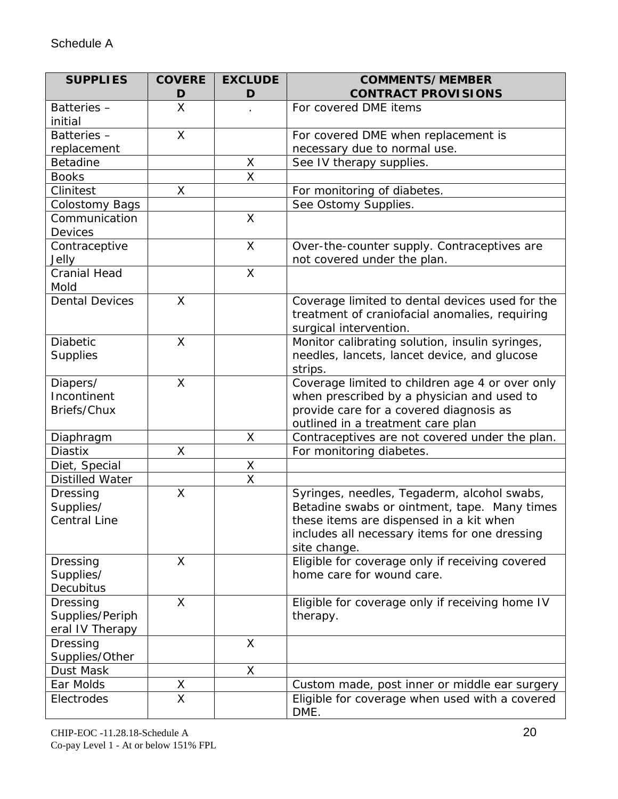| <b>SUPPLIES</b>                                | <b>COVERE</b><br>D              | <b>EXCLUDE</b><br>D     | <b>COMMENTS/MEMBER</b><br><b>CONTRACT PROVISIONS</b>                                                                                                                                                    |
|------------------------------------------------|---------------------------------|-------------------------|---------------------------------------------------------------------------------------------------------------------------------------------------------------------------------------------------------|
| Batteries-<br>initial                          | X                               |                         | For covered DME items                                                                                                                                                                                   |
| Batteries-                                     | X                               |                         | For covered DME when replacement is                                                                                                                                                                     |
| replacement                                    |                                 |                         | necessary due to normal use.                                                                                                                                                                            |
| <b>Betadine</b>                                |                                 | X                       | See IV therapy supplies.                                                                                                                                                                                |
| <b>Books</b>                                   |                                 | $\overline{\mathsf{x}}$ |                                                                                                                                                                                                         |
| Clinitest                                      | X                               |                         | For monitoring of diabetes.                                                                                                                                                                             |
| <b>Colostomy Bags</b>                          |                                 |                         | See Ostomy Supplies.                                                                                                                                                                                    |
| Communication<br><b>Devices</b>                |                                 | $\mathsf{X}% _{0}$      |                                                                                                                                                                                                         |
| Contraceptive<br>Jelly                         |                                 | X                       | Over-the-counter supply. Contraceptives are<br>not covered under the plan.                                                                                                                              |
| <b>Cranial Head</b><br>Mold                    |                                 | $\mathsf{X}$            |                                                                                                                                                                                                         |
| <b>Dental Devices</b>                          | X                               |                         | Coverage limited to dental devices used for the<br>treatment of craniofacial anomalies, requiring<br>surgical intervention.                                                                             |
| <b>Diabetic</b><br><b>Supplies</b>             | X                               |                         | Monitor calibrating solution, insulin syringes,<br>needles, lancets, lancet device, and glucose<br>strips.                                                                                              |
| Diapers/<br>Incontinent<br>Briefs/Chux         | X                               |                         | Coverage limited to children age 4 or over only<br>when prescribed by a physician and used to<br>provide care for a covered diagnosis as<br>outlined in a treatment care plan                           |
| Diaphragm                                      |                                 | X                       | Contraceptives are not covered under the plan.                                                                                                                                                          |
| <b>Diastix</b>                                 | Χ                               |                         | For monitoring diabetes.                                                                                                                                                                                |
| Diet, Special                                  |                                 | X                       |                                                                                                                                                                                                         |
| <b>Distilled Water</b>                         |                                 | $\overline{\mathsf{x}}$ |                                                                                                                                                                                                         |
| Dressing<br>Supplies/<br><b>Central Line</b>   | X                               |                         | Syringes, needles, Tegaderm, alcohol swabs,<br>Betadine swabs or ointment, tape. Many times<br>these items are dispensed in a kit when<br>includes all necessary items for one dressing<br>site change. |
| Dressing<br>Supplies/<br>Decubitus             | X                               |                         | Eligible for coverage only if receiving covered<br>home care for wound care.                                                                                                                            |
| Dressing<br>Supplies/Periph<br>eral IV Therapy | $\times$                        |                         | Eligible for coverage only if receiving home IV<br>therapy.                                                                                                                                             |
| Dressing<br>Supplies/Other                     |                                 | X                       |                                                                                                                                                                                                         |
| Dust Mask                                      |                                 | X                       |                                                                                                                                                                                                         |
| Ear Molds                                      | $\frac{\mathsf{X}}{\mathsf{X}}$ |                         | Custom made, post inner or middle ear surgery                                                                                                                                                           |
| Electrodes                                     |                                 |                         | Eligible for coverage when used with a covered<br>DME.                                                                                                                                                  |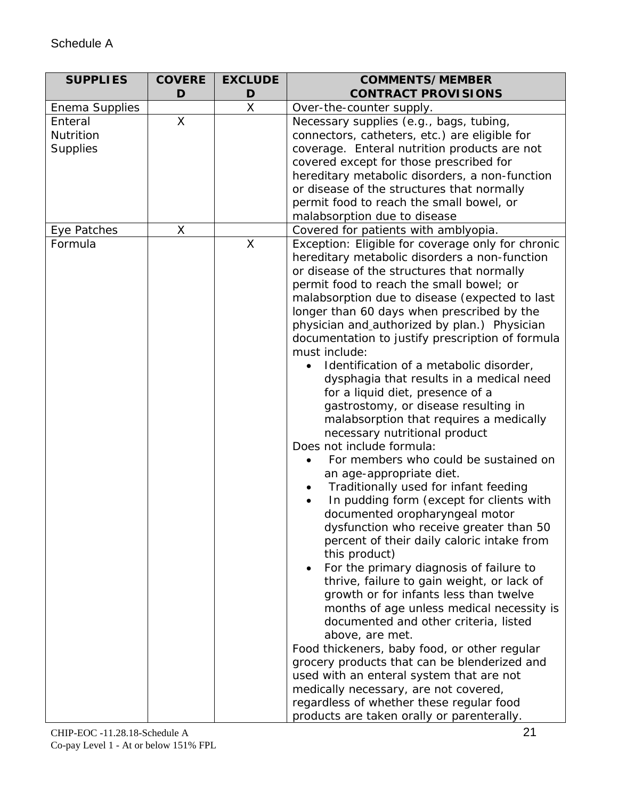| <b>SUPPLIES</b>  | <b>COVERE</b> | <b>EXCLUDE</b> | <b>COMMENTS/MEMBER</b>                                                                |
|------------------|---------------|----------------|---------------------------------------------------------------------------------------|
|                  | D             | D              | <b>CONTRACT PROVISIONS</b>                                                            |
| Enema Supplies   |               | $\sf X$        | Over-the-counter supply.                                                              |
| Enteral          | X             |                | Necessary supplies (e.g., bags, tubing,                                               |
| <b>Nutrition</b> |               |                | connectors, catheters, etc.) are eligible for                                         |
| <b>Supplies</b>  |               |                | coverage. Enteral nutrition products are not                                          |
|                  |               |                | covered except for those prescribed for                                               |
|                  |               |                | hereditary metabolic disorders, a non-function                                        |
|                  |               |                | or disease of the structures that normally                                            |
|                  |               |                | permit food to reach the small bowel, or                                              |
|                  |               |                | malabsorption due to disease                                                          |
| Eye Patches      | X             |                | Covered for patients with amblyopia.                                                  |
| Formula          |               | X              | Exception: Eligible for coverage only for chronic                                     |
|                  |               |                | hereditary metabolic disorders a non-function                                         |
|                  |               |                | or disease of the structures that normally                                            |
|                  |               |                | permit food to reach the small bowel; or                                              |
|                  |               |                | malabsorption due to disease (expected to last                                        |
|                  |               |                | longer than 60 days when prescribed by the                                            |
|                  |               |                | physician and_authorized by plan.) Physician                                          |
|                  |               |                | documentation to justify prescription of formula                                      |
|                  |               |                | must include:                                                                         |
|                  |               |                | Identification of a metabolic disorder,                                               |
|                  |               |                | dysphagia that results in a medical need                                              |
|                  |               |                | for a liquid diet, presence of a                                                      |
|                  |               |                | gastrostomy, or disease resulting in                                                  |
|                  |               |                | malabsorption that requires a medically                                               |
|                  |               |                | necessary nutritional product                                                         |
|                  |               |                | Does not include formula:                                                             |
|                  |               |                | For members who could be sustained on                                                 |
|                  |               |                | an age-appropriate diet.<br>Traditionally used for infant feeding                     |
|                  |               |                | In pudding form (except for clients with                                              |
|                  |               |                | documented oropharyngeal motor                                                        |
|                  |               |                |                                                                                       |
|                  |               |                | dysfunction who receive greater than 50<br>percent of their daily caloric intake from |
|                  |               |                | this product)                                                                         |
|                  |               |                | For the primary diagnosis of failure to                                               |
|                  |               |                | thrive, failure to gain weight, or lack of                                            |
|                  |               |                | growth or for infants less than twelve                                                |
|                  |               |                | months of age unless medical necessity is                                             |
|                  |               |                | documented and other criteria, listed                                                 |
|                  |               |                | above, are met.                                                                       |
|                  |               |                | Food thickeners, baby food, or other regular                                          |
|                  |               |                | grocery products that can be blenderized and                                          |
|                  |               |                | used with an enteral system that are not                                              |
|                  |               |                | medically necessary, are not covered,                                                 |
|                  |               |                | regardless of whether these regular food                                              |
|                  |               |                | products are taken orally or parenterally.                                            |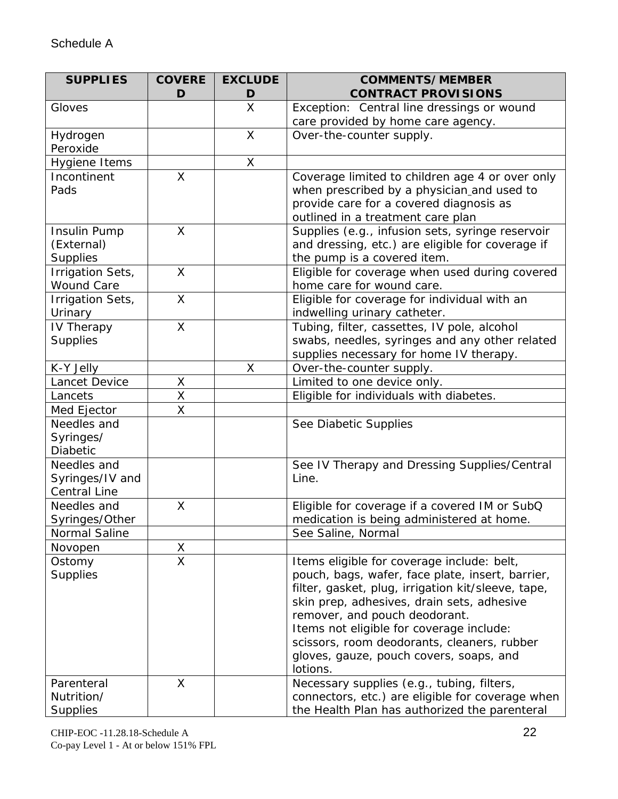| <b>SUPPLIES</b>                        | <b>COVERE</b><br>D      | <b>EXCLUDE</b><br>D | <b>COMMENTS/MEMBER</b><br><b>CONTRACT PROVISIONS</b>                        |
|----------------------------------------|-------------------------|---------------------|-----------------------------------------------------------------------------|
| Gloves                                 |                         | X                   | Exception: Central line dressings or wound                                  |
|                                        |                         |                     | care provided by home care agency.                                          |
| Hydrogen                               |                         | $\mathsf{X}$        | Over-the-counter supply.                                                    |
| Peroxide                               |                         |                     |                                                                             |
| Hygiene Items                          |                         | X                   |                                                                             |
| Incontinent                            | X                       |                     | Coverage limited to children age 4 or over only                             |
| Pads                                   |                         |                     | when prescribed by a physician and used to                                  |
|                                        |                         |                     | provide care for a covered diagnosis as                                     |
|                                        |                         |                     | outlined in a treatment care plan                                           |
| Insulin Pump                           | X                       |                     | Supplies (e.g., infusion sets, syringe reservoir                            |
| (External)                             |                         |                     | and dressing, etc.) are eligible for coverage if                            |
| <b>Supplies</b>                        | X                       |                     | the pump is a covered item.                                                 |
| Irrigation Sets,<br><b>Wound Care</b>  |                         |                     | Eligible for coverage when used during covered<br>home care for wound care. |
| Irrigation Sets,                       | X                       |                     | Eligible for coverage for individual with an                                |
| Urinary                                |                         |                     | indwelling urinary catheter.                                                |
| IV Therapy                             | X                       |                     | Tubing, filter, cassettes, IV pole, alcohol                                 |
| <b>Supplies</b>                        |                         |                     | swabs, needles, syringes and any other related                              |
|                                        |                         |                     | supplies necessary for home IV therapy.                                     |
| K-Y Jelly                              |                         | X                   | Over-the-counter supply.                                                    |
| Lancet Device                          | Χ                       |                     | Limited to one device only.                                                 |
| Lancets                                | X                       |                     | Eligible for individuals with diabetes.                                     |
| Med Ejector                            | X                       |                     |                                                                             |
| Needles and                            |                         |                     | See Diabetic Supplies                                                       |
| Syringes/                              |                         |                     |                                                                             |
| Diabetic                               |                         |                     |                                                                             |
| Needles and                            |                         |                     | See IV Therapy and Dressing Supplies/Central<br>Line.                       |
| Syringes/IV and<br><b>Central Line</b> |                         |                     |                                                                             |
| Needles and                            | X                       |                     | Eligible for coverage if a covered IM or SubQ                               |
| Syringes/Other                         |                         |                     | medication is being administered at home.                                   |
| Normal Saline                          |                         |                     | See Saline, Normal                                                          |
| Novopen                                | Χ                       |                     |                                                                             |
| Ostomy                                 | $\overline{\mathsf{X}}$ |                     | Items eligible for coverage include: belt,                                  |
| <b>Supplies</b>                        |                         |                     | pouch, bags, wafer, face plate, insert, barrier,                            |
|                                        |                         |                     | filter, gasket, plug, irrigation kit/sleeve, tape,                          |
|                                        |                         |                     | skin prep, adhesives, drain sets, adhesive                                  |
|                                        |                         |                     | remover, and pouch deodorant.                                               |
|                                        |                         |                     | Items not eligible for coverage include:                                    |
|                                        |                         |                     | scissors, room deodorants, cleaners, rubber                                 |
|                                        |                         |                     | gloves, gauze, pouch covers, soaps, and                                     |
| Parenteral                             | X                       |                     | lotions.<br>Necessary supplies (e.g., tubing, filters,                      |
| Nutrition/                             |                         |                     | connectors, etc.) are eligible for coverage when                            |
| <b>Supplies</b>                        |                         |                     | the Health Plan has authorized the parenteral                               |